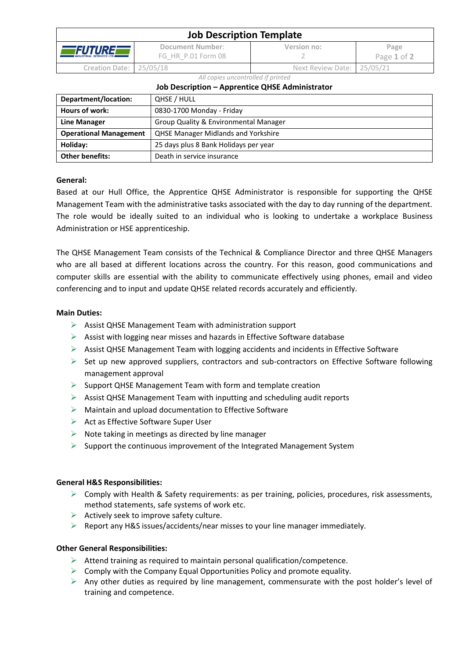| <b>Job Description Template</b>                    |                                        |                            |                     |  |  |
|----------------------------------------------------|----------------------------------------|----------------------------|---------------------|--|--|
| <b>TFUTUREL</b><br><b>INDUSTRIAL SERVICES LTD.</b> | Document Number:<br>FG HR P.01 Form 08 | Version no:                | Page<br>Page 1 of 2 |  |  |
| Creation Date: 25/05/18                            |                                        | Next Review Date: 25/05/21 |                     |  |  |

*All copies uncontrolled if printed*

### **Job Description – Apprentice QHSE Administrator**

| Department/location:          | QHSE / HULL                                |
|-------------------------------|--------------------------------------------|
| Hours of work:                | 0830-1700 Monday - Friday                  |
| <b>Line Manager</b>           | Group Quality & Environmental Manager      |
| <b>Operational Management</b> | <b>QHSE Manager Midlands and Yorkshire</b> |
| Holiday:                      | 25 days plus 8 Bank Holidays per year      |
| <b>Other benefits:</b>        | Death in service insurance                 |

# **General:**

Based at our Hull Office, the Apprentice QHSE Administrator is responsible for supporting the QHSE Management Team with the administrative tasks associated with the day to day running of the department. The role would be ideally suited to an individual who is looking to undertake a workplace Business Administration or HSE apprenticeship.

The QHSE Management Team consists of the Technical & Compliance Director and three QHSE Managers who are all based at different locations across the country. For this reason, good communications and computer skills are essential with the ability to communicate effectively using phones, email and video conferencing and to input and update QHSE related records accurately and efficiently.

## **Main Duties:**

- $\triangleright$  Assist QHSE Management Team with administration support
- ➢ Assist with logging near misses and hazards in Effective Software database
- $\triangleright$  Assist QHSE Management Team with logging accidents and incidents in Effective Software
- $\triangleright$  Set up new approved suppliers, contractors and sub-contractors on Effective Software following management approval
- $\triangleright$  Support QHSE Management Team with form and template creation
- ➢ Assist QHSE Management Team with inputting and scheduling audit reports
- $\triangleright$  Maintain and upload documentation to Effective Software
- ➢ Act as Effective Software Super User
- $\triangleright$  Note taking in meetings as directed by line manager
- ➢ Support the continuous improvement of the Integrated Management System

# **General H&S Responsibilities:**

- $\triangleright$  Comply with Health & Safety requirements: as per training, policies, procedures, risk assessments, method statements, safe systems of work etc.
- $\triangleright$  Actively seek to improve safety culture.
- ➢ Report any H&S issues/accidents/near misses to your line manager immediately.

# **Other General Responsibilities:**

- $\triangleright$  Attend training as required to maintain personal qualification/competence.
- $\triangleright$  Comply with the Company Equal Opportunities Policy and promote equality.
- ➢ Any other duties as required by line management, commensurate with the post holder's level of training and competence.